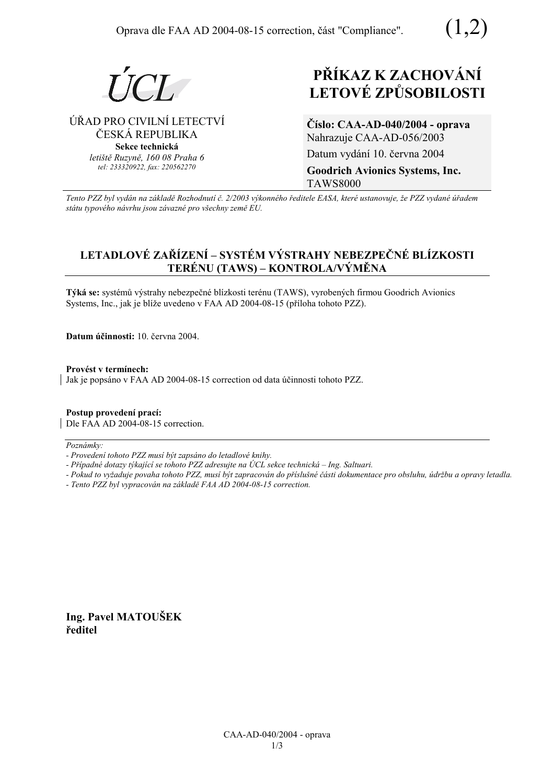

### ⁄ŘAD PRO CIVILNÕ LETECTVÕ ČESKÁ REPUBLIKA **Sekce technická** *letiötě Ruzyně, 160 08 Praha 6 tel: 233320922, fax: 220562270*

# **PŘÍKAZ K ZACHOVÁNÍ LETOV… ZPŮSOBILOSTI**

**ČÌslo: CAA-AD-040/2004 - oprava**  Nahrazuje CAA-AD-056/2003 Datum vydání 10. června 2004 **Goodrich Avionics Systems, Inc.**  TAWS8000

*Tento PZZ byl vyd·n na z·kladě RozhodnutÌ č. 2/2003 v˝konnÈho ředitele EASA, kterÈ ustanovuje, ûe PZZ vydanÈ ˙řadem st·tu typovÈho n·vrhu jsou z·vaznÈ pro vöechny země EU.*

## **LETADLOVÉ ZAŘÍZENÍ – SYSTÉM VÝSTRAHY NEBEZPEČNÉ BLÍZKOSTI**  $TERÉNU (TAWS) - KONTROLA/VÝMÉNA)$

**Týká se:** systémů výstrahy nebezpečné blízkosti terénu (TAWS), vyrobených firmou Goodrich Avionics Systems, Inc., jak je blíže uvedeno v FAA AD 2004-08-15 (příloha tohoto PZZ).

**Datum ˙činnosti:** 10. června 2004.

Provést v termínech: Jak je popsáno v FAA AD 2004-08-15 correction od data účinnosti tohoto PZZ.

**Postup provedenÌ pracÌ:**  Dle FAA AD 2004-08-15 correction.

 $Poznámky:$ 

*- Případné dotazy týkající se tohoto PZZ adresujte na ÚCL sekce technická – Ing. Saltuari.* 

*- Pokud to vyûaduje povaha tohoto PZZ, musÌ b˝t zapracov·n do přÌsluönÈ č·sti dokumentace pro obsluhu, ˙drûbu a opravy letadla.* 

*- Tento PZZ byl vypracov·n na z·kladě FAA AD 2004-08-15 correction.* 

**Ing. Pavel MATOUäEK ředitel** 

*<sup>-</sup> ProvedenÌ tohoto PZZ musÌ b˝t zaps·no do letadlovÈ knihy.*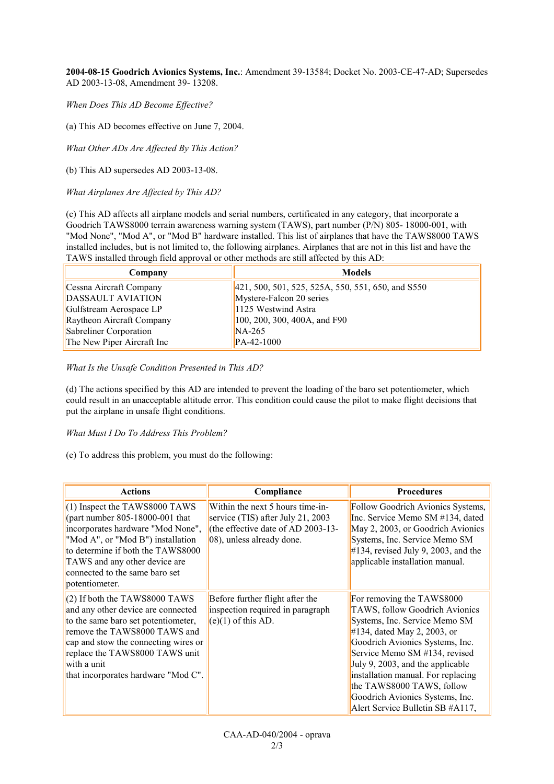**2004-08-15 Goodrich Avionics Systems, Inc.**: Amendment 39-13584; Docket No. 2003-CE-47-AD; Supersedes AD 2003-13-08, Amendment 39- 13208.

*When Does This AD Become Effective?* 

(a) This AD becomes effective on June 7, 2004.

*What Other ADs Are Affected By This Action?* 

(b) This AD supersedes AD 2003-13-08.

*What Airplanes Are Affected by This AD?* 

(c) This AD affects all airplane models and serial numbers, certificated in any category, that incorporate a Goodrich TAWS8000 terrain awareness warning system (TAWS), part number (P/N) 805- 18000-001, with "Mod None", "Mod A", or "Mod B" hardware installed. This list of airplanes that have the TAWS8000 TAWS installed includes, but is not limited to, the following airplanes. Airplanes that are not in this list and have the TAWS installed through field approval or other methods are still affected by this AD:

| Company                    | <b>Models</b>                                         |
|----------------------------|-------------------------------------------------------|
| Cessna Aircraft Company    | $[421, 500, 501, 525, 525A, 550, 551, 650, and S550]$ |
| <b>DASSAULT AVIATION</b>   | Mystere-Falcon 20 series                              |
| Gulfstream Aerospace LP    | 1125 Westwind Astra                                   |
| Raytheon Aircraft Company  | [100, 200, 300, 400A, and F90]                        |
| Sabreliner Corporation     | $NA-265$                                              |
| The New Piper Aircraft Inc | PA-42-1000                                            |

*What Is the Unsafe Condition Presented in This AD?* 

(d) The actions specified by this AD are intended to prevent the loading of the baro set potentiometer, which could result in an unacceptable altitude error. This condition could cause the pilot to make flight decisions that put the airplane in unsafe flight conditions.

#### *What Must I Do To Address This Problem?*

(e) To address this problem, you must do the following:

| <b>Actions</b>                                                                                                                                                                                                                                                               | Compliance                                                                                                                                   | <b>Procedures</b>                                                                                                                                                                                                                                                                                                                                                                |
|------------------------------------------------------------------------------------------------------------------------------------------------------------------------------------------------------------------------------------------------------------------------------|----------------------------------------------------------------------------------------------------------------------------------------------|----------------------------------------------------------------------------------------------------------------------------------------------------------------------------------------------------------------------------------------------------------------------------------------------------------------------------------------------------------------------------------|
| $(1)$ Inspect the TAWS8000 TAWS<br>(part number $805-18000-001$ that<br>incorporates hardware "Mod None",<br>"Mod A", or "Mod B") installation<br>to determine if both the TAWS8000<br>TAWS and any other device are<br>connected to the same baro set<br>potentiometer.     | Within the next 5 hours time-in-<br>service (TIS) after July 21, 2003<br>(the effective date of AD 2003-13-<br>$(08)$ , unless already done. | Follow Goodrich Avionics Systems,<br>Inc. Service Memo SM #134, dated<br>May 2, 2003, or Goodrich Avionics<br>Systems, Inc. Service Memo SM<br>$\#134$ , revised July 9, 2003, and the<br>applicable installation manual.                                                                                                                                                        |
| $(2)$ If both the TAWS8000 TAWS<br>and any other device are connected<br>to the same baro set potentiometer,<br>remove the TAWS8000 TAWS and<br>cap and stow the connecting wires or<br>replace the TAWS8000 TAWS unit<br>with a unit<br>that incorporates hardware "Mod C". | Before further flight after the<br>inspection required in paragraph<br>$(e)(1)$ of this AD.                                                  | For removing the TAWS8000<br>TAWS, follow Goodrich Avionics<br>Systems, Inc. Service Memo SM<br>$#134$ , dated May 2, 2003, or<br>Goodrich Avionics Systems, Inc.<br>Service Memo SM #134, revised<br>July 9, 2003, and the applicable<br>installation manual. For replacing<br>the TAWS8000 TAWS, follow<br>Goodrich Avionics Systems, Inc.<br>Alert Service Bulletin SB #A117, |